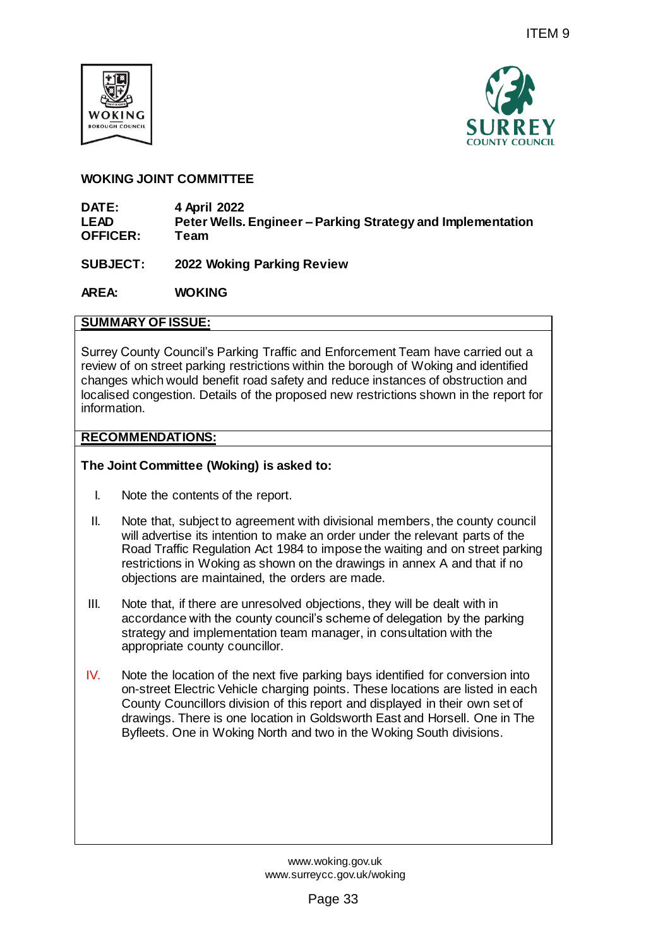



# **WOKING JOINT COMMITTEE**

| DATE:           | 4 April 2022                                                |
|-----------------|-------------------------------------------------------------|
| <b>LEAD</b>     | Peter Wells. Engineer – Parking Strategy and Implementation |
| <b>OFFICER:</b> | Team                                                        |

**SUBJECT: 2022 Woking Parking Review**

**AREA: WOKING** 

# **SUMMARY OF ISSUE:**

Surrey County Council's Parking Traffic and Enforcement Team have carried out a review of on street parking restrictions within the borough of Woking and identified changes which would benefit road safety and reduce instances of obstruction and localised congestion. Details of the proposed new restrictions shown in the report for information. ITEM 9<br>
SUIRREY<br>
SUIRREY<br>
Parking Strategy and Implementation<br>
Review<br>
Parking Strategy and Implementation<br>
Review<br>
Min the brough of Woking and identified<br>
and reduce instances of obstruction and<br>
and reduce instances of

# **RECOMMENDATIONS:**

# **The Joint Committee (Woking) is asked to:**

- I. Note the contents of the report.
- II. Note that, subject to agreement with divisional members, the county council will advertise its intention to make an order under the relevant parts of the Road Traffic Regulation Act 1984 to impose the waiting and on street parking restrictions in Woking as shown on the drawings in annex A and that if no objections are maintained, the orders are made.
- III. Note that, if there are unresolved objections, they will be dealt with in accordance with the county council's scheme of delegation by the parking strategy and implementation team manager, in consultation with the appropriate county councillor.
- IV. Note the location of the next five parking bays identified for conversion into on-street Electric Vehicle charging points. These locations are listed in each County Councillors division of this report and displayed in their own set of drawings. There is one location in Goldsworth East and Horsell. One in The Byfleets. One in Woking North and two in the Woking South divisions.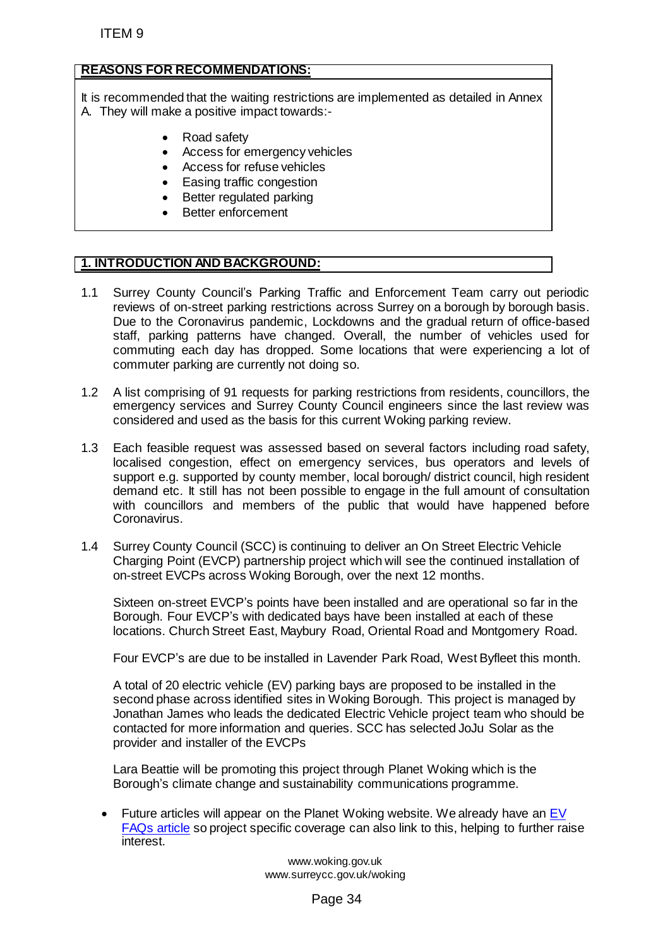# **REASONS FOR RECOMMENDATIONS:**

It is recommended that the waiting restrictions are implemented as detailed in Annex A. They will make a positive impact towards:-

- Road safety
- Access for emergency vehicles
- Access for refuse vehicles
- Easing traffic congestion
- Better regulated parking
- Better enforcement

# **1. INTRODUCTION AND BACKGROUND:**

- 1.1 Surrey County Council's Parking Traffic and Enforcement Team carry out periodic reviews of on-street parking restrictions across Surrey on a borough by borough basis. Due to the Coronavirus pandemic, Lockdowns and the gradual return of office-based staff, parking patterns have changed. Overall, the number of vehicles used for commuting each day has dropped. Some locations that were experiencing a lot of commuter parking are currently not doing so. ITEM 9<br> **ASONS FOR RECOMMENDATIONS:**<br>
recommended that the waiting restrictions are interval make a positive impact towards:<br>
• Road safety impact towards:<br>
• Access for renergency vehicles<br>
• Access for renergency vehicle
- 1.2 A list comprising of 91 requests for parking restrictions from residents, councillors, the emergency services and Surrey County Council engineers since the last review was considered and used as the basis for this current Woking parking review.
- 1.3 Each feasible request was assessed based on several factors including road safety, localised congestion, effect on emergency services, bus operators and levels of support e.g. supported by county member, local borough/ district council, high resident demand etc. It still has not been possible to engage in the full amount of consultation with councillors and members of the public that would have happened before Coronavirus.
- 1.4 Surrey County Council (SCC) is continuing to deliver an On Street Electric Vehicle Charging Point (EVCP) partnership project which will see the continued installation of on-street EVCPs across Woking Borough, over the next 12 months.

Sixteen on-street EVCP's points have been installed and are operational so far in the Borough. Four EVCP's with dedicated bays have been installed at each of these locations. Church Street East, Maybury Road, Oriental Road and Montgomery Road.

Four EVCP's are due to be installed in Lavender Park Road, West Byfleet this month.

A total of 20 electric vehicle (EV) parking bays are proposed to be installed in the second phase across identified sites in Woking Borough. This project is managed by Jonathan James who leads the dedicated Electric Vehicle project team who should be contacted for more information and queries. SCC has selected JoJu Solar as the provider and installer of the EVCPs

Lara Beattie will be promoting this project through Planet Woking which is the Borough's climate change and sustainability communications programme.

• Future articles will appear on the Planet Woking website. We already have an  $E_V$ [FAQs article](https://planetwoking.co.uk/events/) so project specific coverage can also link to this, helping to further raise interest.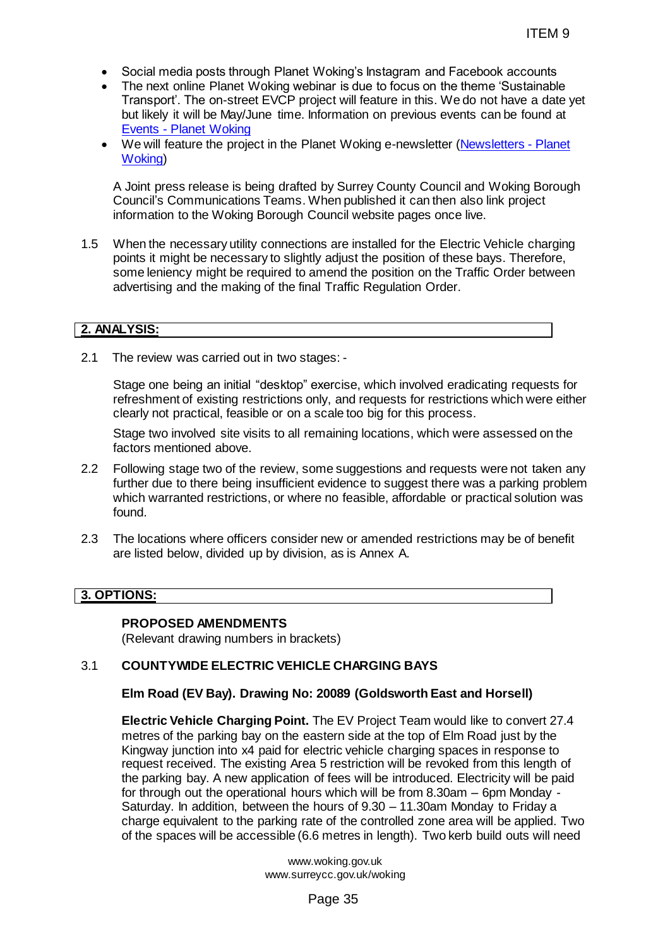- Social media posts through Planet Woking's Instagram and Facebook accounts
- The next online Planet Woking webinar is due to focus on the theme 'Sustainable' Transport'. The on-street EVCP project will feature in this. We do not have a date yet but likely it will be May/June time. Information on previous events can be found at Events - [Planet Woking](https://planetwoking.co.uk/events/)
- We will feature the project in the Planet Woking e-newsletter [\(Newsletters -](https://planetwoking.co.uk/get-involved/newsletters/) Planet [Woking\)](https://planetwoking.co.uk/get-involved/newsletters/)

A Joint press release is being drafted by Surrey County Council and Woking Borough Council's Communications Teams. When published it can then also link project information to the Woking Borough Council website pages once live.

1.5 When the necessary utility connections are installed for the Electric Vehicle charging points it might be necessary to slightly adjust the position of these bays. Therefore, some leniency might be required to amend the position on the Traffic Order between advertising and the making of the final Traffic Regulation Order.

### **2. ANALYSIS:**

2.1 The review was carried out in two stages: -

Stage one being an initial "desktop" exercise, which involved eradicating requests for refreshment of existing restrictions only, and requests for restrictions which were either clearly not practical, feasible or on a scale too big for this process.

Stage two involved site visits to all remaining locations, which were assessed on the factors mentioned above.

- 2.2 Following stage two of the review, some suggestions and requests were not taken any further due to there being insufficient evidence to suggest there was a parking problem which warranted restrictions, or where no feasible, affordable or practical solution was found.
- 2.3 The locations where officers consider new or amended restrictions may be of benefit are listed below, divided up by division, as is Annex A.

### **3. OPTIONS:**

### **PROPOSED AMENDMENTS**

(Relevant drawing numbers in brackets)

### 3.1 **COUNTYWIDE ELECTRIC VEHICLE CHARGING BAYS**

### **Elm Road (EV Bay). Drawing No: 20089 (Goldsworth East and Horsell)**

**Electric Vehicle Charging Point.** The EV Project Team would like to convert 27.4 metres of the parking bay on the eastern side at the top of Elm Road just by the Kingway junction into x4 paid for electric vehicle charging spaces in response to request received. The existing Area 5 restriction will be revoked from this length of the parking bay. A new application of fees will be introduced. Electricity will be paid for through out the operational hours which will be from 8.30am – 6pm Monday - Saturday. In addition, between the hours of 9.30 – 11.30am Monday to Friday a charge equivalent to the parking rate of the controlled zone area will be applied. Two of the spaces will be accessible (6.6 metres in length). Two kerb build outs will need ITEM 9<br>
Woking's Instagram and Facebook accounts<br>
biginer is due to focus on the theme "Sustainable<br>
biginer is due to focus on the theme "Sustainable<br>
lignet Will feature in this. We do not have a date<br>
lignet Woking e-ne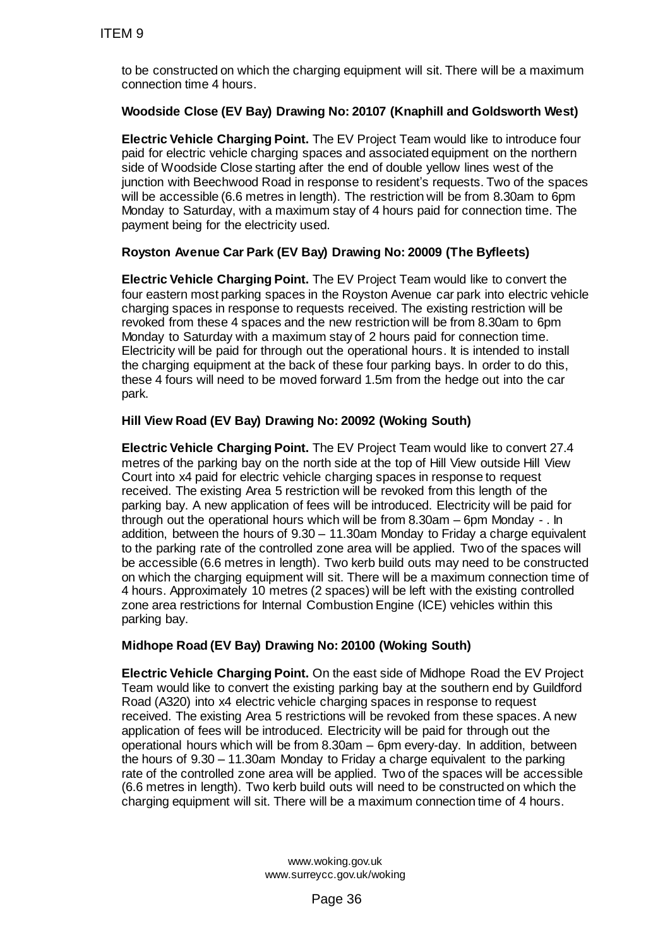to be constructed on which the charging equipment will sit. There will be a maximum connection time 4 hours.

# **Woodside Close (EV Bay) Drawing No: 20107 (Knaphill and Goldsworth West)**

**Electric Vehicle Charging Point.** The EV Project Team would like to introduce four paid for electric vehicle charging spaces and associated equipment on the northern side of Woodside Close starting after the end of double yellow lines west of the junction with Beechwood Road in response to resident's requests. Two of the spaces will be accessible (6.6 metres in length). The restriction will be from 8.30am to 6pm Monday to Saturday, with a maximum stay of 4 hours paid for connection time. The payment being for the electricity used.

# **Royston Avenue Car Park (EV Bay) Drawing No: 20009 (The Byfleets)**

**Electric Vehicle Charging Point.** The EV Project Team would like to convert the four eastern most parking spaces in the Royston Avenue car park into electric vehicle charging spaces in response to requests received. The existing restriction will be revoked from these 4 spaces and the new restriction will be from 8.30am to 6pm Monday to Saturday with a maximum stay of 2 hours paid for connection time. Electricity will be paid for through out the operational hours. It is intended to install the charging equipment at the back of these four parking bays. In order to do this, these 4 fours will need to be moved forward 1.5m from the hedge out into the car park.

### **Hill View Road (EV Bay) Drawing No: 20092 (Woking South)**

**Electric Vehicle Charging Point.** The EV Project Team would like to convert 27.4 metres of the parking bay on the north side at the top of Hill View outside Hill View Court into x4 paid for electric vehicle charging spaces in response to request received. The existing Area 5 restriction will be revoked from this length of the parking bay. A new application of fees will be introduced. Electricity will be paid for through out the operational hours which will be from 8.30am – 6pm Monday - . In addition, between the hours of 9.30 – 11.30am Monday to Friday a charge equivalent to the parking rate of the controlled zone area will be applied. Two of the spaces will be accessible (6.6 metres in length). Two kerb build outs may need to be constructed on which the charging equipment will sit. There will be a maximum connection time of 4 hours. Approximately 10 metres (2 spaces) will be left with the existing controlled zone area restrictions for Internal Combustion Engine (ICE) vehicles within this parking bay. ITEM 9<br>to be constructed on which the charging equ<br>connection time 4 hours.<br>Woodside Close (EV Bay) Drawing No: 21<br>Electric Vehicle Charging Point. The EV F<br>aid for electric vehicle charging Points. The EV F<br>aid for electr

### **Midhope Road (EV Bay) Drawing No: 20100 (Woking South)**

**Electric Vehicle Charging Point.** On the east side of Midhope Road the EV Project Team would like to convert the existing parking bay at the southern end by Guildford Road (A320) into x4 electric vehicle charging spaces in response to request received. The existing Area 5 restrictions will be revoked from these spaces. A new application of fees will be introduced. Electricity will be paid for through out the operational hours which will be from 8.30am – 6pm every-day. In addition, between the hours of 9.30 – 11.30am Monday to Friday a charge equivalent to the parking rate of the controlled zone area will be applied. Two of the spaces will be accessible (6.6 metres in length). Two kerb build outs will need to be constructed on which the charging equipment will sit. There will be a maximum connection time of 4 hours.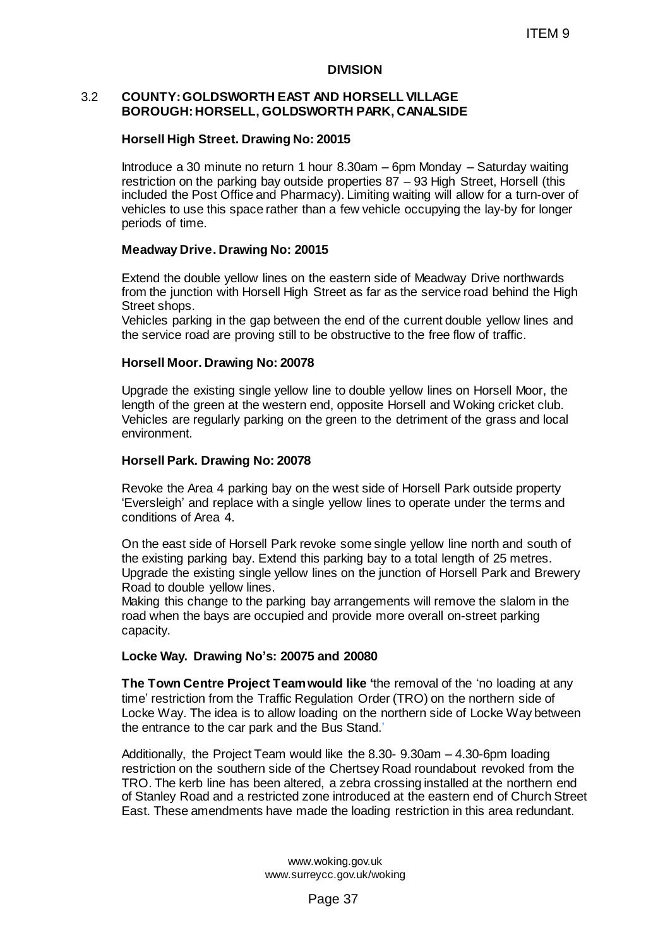#### **DIVISION**

#### 3.2 **COUNTY: GOLDSWORTH EAST AND HORSELL VILLAGE BOROUGH: HORSELL, GOLDSWORTH PARK, CANALSIDE**

#### **Horsell High Street. Drawing No: 20015**

Introduce a 30 minute no return 1 hour 8.30am – 6pm Monday – Saturday waiting restriction on the parking bay outside properties 87 – 93 High Street, Horsell (this included the Post Office and Pharmacy). Limiting waiting will allow for a turn-over of vehicles to use this space rather than a few vehicle occupying the lay-by for longer periods of time.

#### **Meadway Drive. Drawing No: 20015**

Extend the double yellow lines on the eastern side of Meadway Drive northwards from the junction with Horsell High Street as far as the service road behind the High Street shops.

Vehicles parking in the gap between the end of the current double yellow lines and the service road are proving still to be obstructive to the free flow of traffic.

#### **Horsell Moor. Drawing No: 20078**

Upgrade the existing single yellow line to double yellow lines on Horsell Moor, the length of the green at the western end, opposite Horsell and Woking cricket club. Vehicles are regularly parking on the green to the detriment of the grass and local environment.

#### **Horsell Park. Drawing No: 20078**

Revoke the Area 4 parking bay on the west side of Horsell Park outside property 'Eversleigh' and replace with a single yellow lines to operate under the terms and conditions of Area 4.

On the east side of Horsell Park revoke some single yellow line north and south of the existing parking bay. Extend this parking bay to a total length of 25 metres. Upgrade the existing single yellow lines on the junction of Horsell Park and Brewery Road to double yellow lines.

Making this change to the parking bay arrangements will remove the slalom in the road when the bays are occupied and provide more overall on-street parking capacity.

#### **Locke Way. Drawing No's: 20075 and 20080**

**The Town Centre Project Teamwould like '**the removal of the 'no loading at any time' restriction from the Traffic Regulation Order (TRO) on the northern side of Locke Way. The idea is to allow loading on the northern side of Locke Way between the entrance to the car park and the Bus Stand.'

Additionally, the Project Team would like the 8.30- 9.30am – 4.30-6pm loading restriction on the southern side of the Chertsey Road roundabout revoked from the TRO. The kerb line has been altered, a zebra crossing installed at the northern end of Stanley Road and a restricted zone introduced at the eastern end of Church Street East. These amendments have made the loading restriction in this area redundant. ITEM 9<br>
DIVISION<br>
COMBON COMBON COMBON CONGERT<br>
WORTH PARK, CANAL-SIDE<br>
20015<br>
20015<br>
20015<br>
20015<br>
20015<br>
20015<br>
20016<br>
20016<br>
20016<br>
20016<br>
20016<br>
20016<br>
20016<br>
20016<br>
20016<br>
20016<br>
20016<br>
20016<br>
20016<br>
2003<br>
2003<br>
<br>
200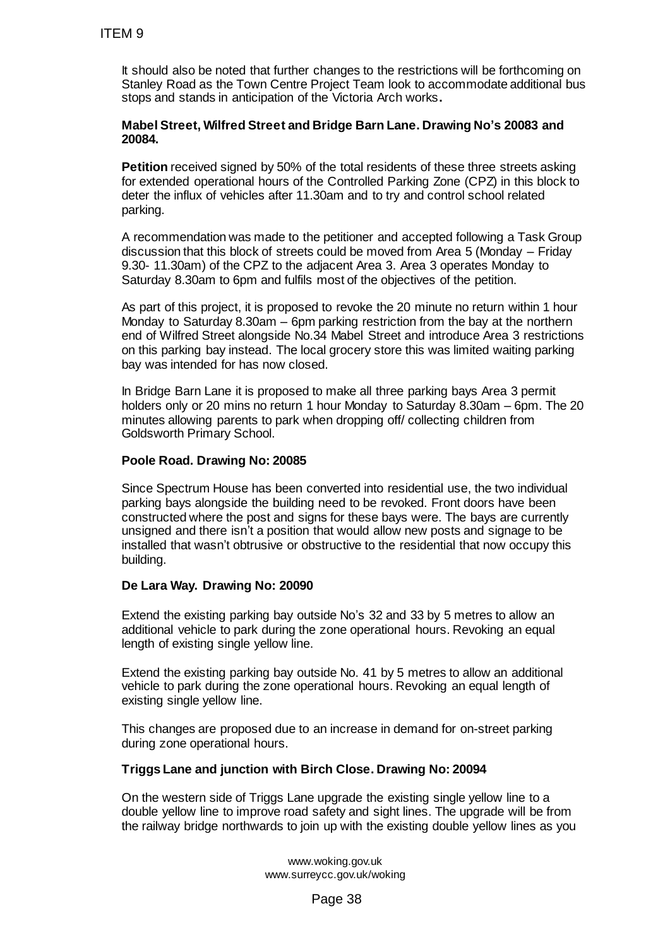It should also be noted that further changes to the restrictions will be forthcoming on Stanley Road as the Town Centre Project Team look to accommodate additional bus stops and stands in anticipation of the Victoria Arch works**.**

#### **Mabel Street, Wilfred Street and Bridge Barn Lane. Drawing No's 20083 and 20084.**

**Petition** received signed by 50% of the total residents of these three streets asking for extended operational hours of the Controlled Parking Zone (CPZ) in this block to deter the influx of vehicles after 11.30am and to try and control school related parking.

A recommendation was made to the petitioner and accepted following a Task Group discussion that this block of streets could be moved from Area 5 (Monday – Friday 9.30- 11.30am) of the CPZ to the adjacent Area 3. Area 3 operates Monday to Saturday 8.30am to 6pm and fulfils most of the objectives of the petition.

As part of this project, it is proposed to revoke the 20 minute no return within 1 hour Monday to Saturday 8.30am – 6pm parking restriction from the bay at the northern end of Wilfred Street alongside No.34 Mabel Street and introduce Area 3 restrictions on this parking bay instead. The local grocery store this was limited waiting parking bay was intended for has now closed.

In Bridge Barn Lane it is proposed to make all three parking bays Area 3 permit holders only or 20 mins no return 1 hour Monday to Saturday 8.30am – 6pm. The 20 minutes allowing parents to park when dropping off/ collecting children from Goldsworth Primary School.

### **Poole Road. Drawing No: 20085**

Since Spectrum House has been converted into residential use, the two individual parking bays alongside the building need to be revoked. Front doors have been constructed where the post and signs for these bays were. The bays are currently unsigned and there isn't a position that would allow new posts and signage to be installed that wasn't obtrusive or obstructive to the residential that now occupy this building. ITEM 9<br>
It should also be noted that further changes<br>
Stanly Road as the Town Center Project T<br>
Stangs Ros and stands in anticipation of the Victor<br>
Mabel Street, Wilfred Street and Bridge E<br>
20084.<br>
Petition received sig

### **De Lara Way. Drawing No: 20090**

Extend the existing parking bay outside No's 32 and 33 by 5 metres to allow an additional vehicle to park during the zone operational hours. Revoking an equal length of existing single yellow line.

Extend the existing parking bay outside No. 41 by 5 metres to allow an additional vehicle to park during the zone operational hours. Revoking an equal length of existing single yellow line.

This changes are proposed due to an increase in demand for on-street parking during zone operational hours.

### **Triggs Lane and junction with Birch Close. Drawing No: 20094**

On the western side of Triggs Lane upgrade the existing single yellow line to a double yellow line to improve road safety and sight lines. The upgrade will be from the railway bridge northwards to join up with the existing double yellow lines as you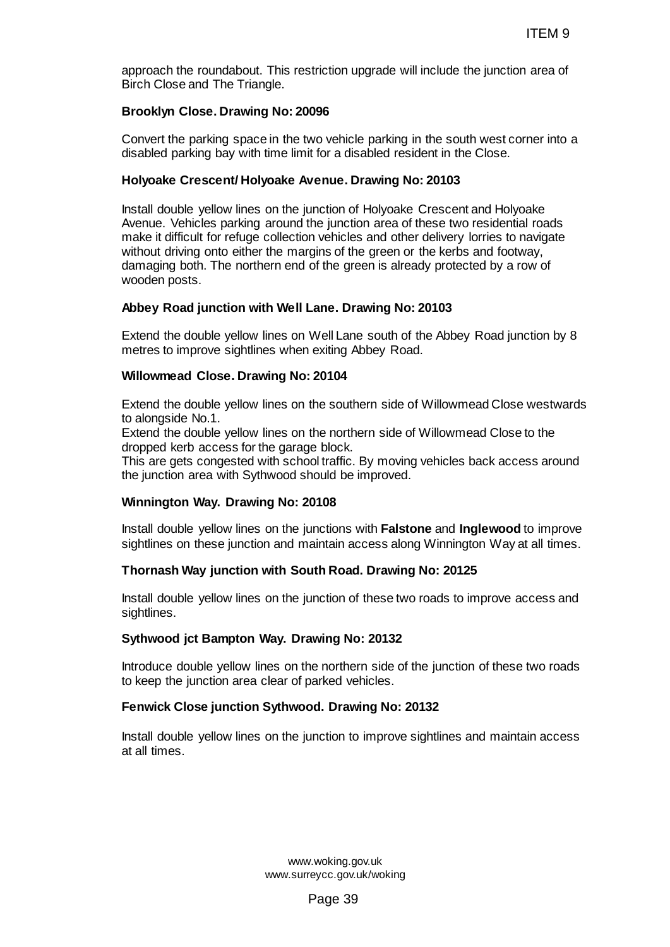approach the roundabout. This restriction upgrade will include the junction area of Birch Close and The Triangle.

## **Brooklyn Close. Drawing No: 20096**

Convert the parking space in the two vehicle parking in the south west corner into a disabled parking bay with time limit for a disabled resident in the Close.

## **Holyoake Crescent/ Holyoake Avenue. Drawing No: 20103**

Install double yellow lines on the junction of Holyoake Crescent and Holyoake Avenue. Vehicles parking around the junction area of these two residential roads make it difficult for refuge collection vehicles and other delivery lorries to navigate without driving onto either the margins of the green or the kerbs and footway, damaging both. The northern end of the green is already protected by a row of wooden posts. ITEM 9<br>1968<br>1968<br>1968<br>1968<br>The variation prime in the South west corner into<br>1976<br>The variation of Holyoake Crescent and Holyoake<br>the junction area of these two residential roads<br>the junction area of these two residential

### **Abbey Road junction with Well Lane. Drawing No: 20103**

Extend the double yellow lines on Well Lane south of the Abbey Road junction by 8 metres to improve sightlines when exiting Abbey Road.

### **Willowmead Close. Drawing No: 20104**

Extend the double yellow lines on the southern side of Willowmead Close westwards to alongside No.1.

Extend the double yellow lines on the northern side of Willowmead Close to the dropped kerb access for the garage block.

This are gets congested with school traffic. By moving vehicles back access around the junction area with Sythwood should be improved.

# **Winnington Way. Drawing No: 20108**

Install double yellow lines on the junctions with **Falstone** and **Inglewood** to improve sightlines on these junction and maintain access along Winnington Way at all times.

### **Thornash Way junction with South Road. Drawing No: 20125**

Install double yellow lines on the junction of these two roads to improve access and sightlines.

### **Sythwood jct Bampton Way. Drawing No: 20132**

Introduce double yellow lines on the northern side of the junction of these two roads to keep the junction area clear of parked vehicles.

### **Fenwick Close junction Sythwood. Drawing No: 20132**

Install double yellow lines on the junction to improve sightlines and maintain access at all times.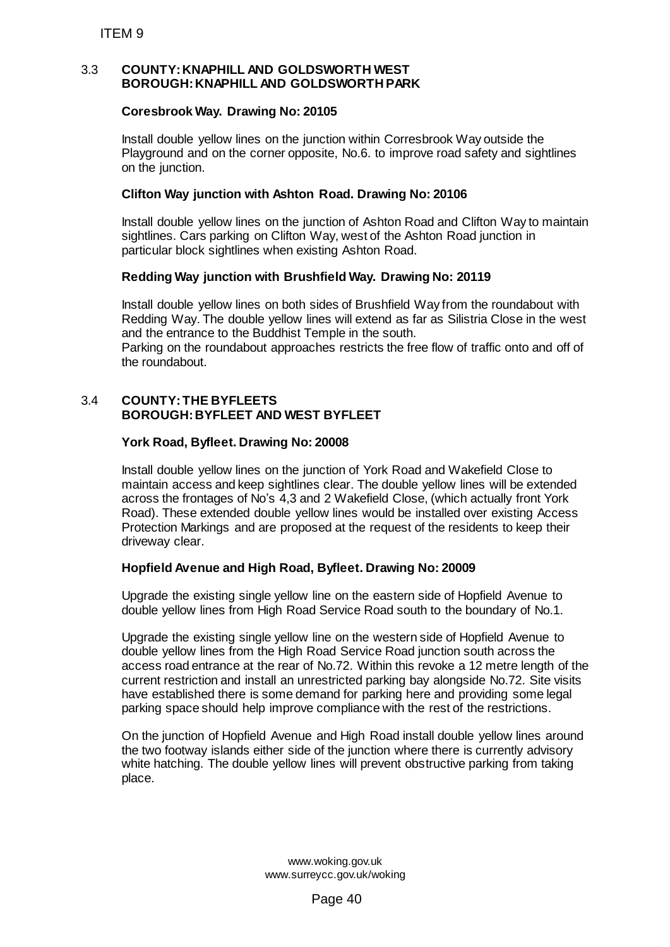#### 3.3 **COUNTY: KNAPHILL AND GOLDSWORTH WEST BOROUGH: KNAPHILL AND GOLDSWORTH PARK**

#### **Coresbrook Way. Drawing No: 20105**

Install double yellow lines on the junction within Corresbrook Way outside the Playground and on the corner opposite, No.6. to improve road safety and sightlines on the junction.

#### **Clifton Way junction with Ashton Road. Drawing No: 20106**

Install double yellow lines on the junction of Ashton Road and Clifton Way to maintain sightlines. Cars parking on Clifton Way, west of the Ashton Road junction in particular block sightlines when existing Ashton Road.

### **Redding Way junction with Brushfield Way. Drawing No: 20119**

Install double yellow lines on both sides of Brushfield Way from the roundabout with Redding Way. The double yellow lines will extend as far as Silistria Close in the west and the entrance to the Buddhist Temple in the south. Parking on the roundabout approaches restricts the free flow of traffic onto and off of the roundabout.

### 3.4 **COUNTY: THE BYFLEETS BOROUGH: BYFLEET AND WEST BYFLEET**

#### **York Road, Byfleet. Drawing No: 20008**

Install double yellow lines on the junction of York Road and Wakefield Close to maintain access and keep sightlines clear. The double yellow lines will be extended across the frontages of No's 4,3 and 2 Wakefield Close, (which actually front York Road). These extended double yellow lines would be installed over existing Access Protection Markings and are proposed at the request of the residents to keep their driveway clear. ITEM 9<br>
COUNTY: KNAPHILL AND GOLDSWORT<br>
BOROUGH: KNAPHILL AND GOLDSWORT<br>
Coresbrook Way. Drawing No: 20105<br>
Install double yellow lines on the junction wi<br>
Playground and on the corner opposite, No.<br>
Clifton Way junction w

#### **Hopfield Avenue and High Road, Byfleet. Drawing No: 20009**

Upgrade the existing single yellow line on the eastern side of Hopfield Avenue to double yellow lines from High Road Service Road south to the boundary of No.1.

Upgrade the existing single yellow line on the western side of Hopfield Avenue to double yellow lines from the High Road Service Road junction south across the access road entrance at the rear of No.72. Within this revoke a 12 metre length of the current restriction and install an unrestricted parking bay alongside No.72. Site visits have established there is some demand for parking here and providing some legal parking space should help improve compliance with the rest of the restrictions.

On the junction of Hopfield Avenue and High Road install double yellow lines around the two footway islands either side of the junction where there is currently advisory white hatching. The double yellow lines will prevent obstructive parking from taking place.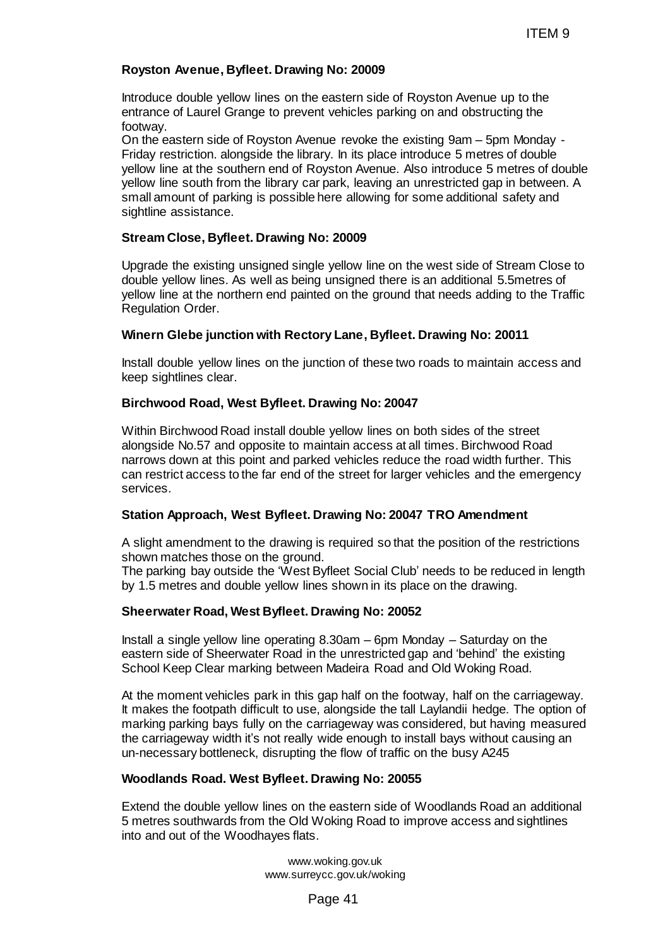#### **Royston Avenue, Byfleet. Drawing No: 20009**

Introduce double yellow lines on the eastern side of Royston Avenue up to the entrance of Laurel Grange to prevent vehicles parking on and obstructing the footway.

On the eastern side of Royston Avenue revoke the existing 9am – 5pm Monday - Friday restriction. alongside the library. In its place introduce 5 metres of double yellow line at the southern end of Royston Avenue. Also introduce 5 metres of double yellow line south from the library car park, leaving an unrestricted gap in between. A small amount of parking is possible here allowing for some additional safety and sightline assistance. ITEM 9<br>
19 No: 20009<br>
TIEM 9<br>
The eastern side of Royston Avenue up to the<br>
tent vehicles parking on and obstructing the<br>
renue revoke the easting 9am – 5pm Monday<br>
Frage in the system Also introduce 5 metres of double<br>
Ro

#### **Stream Close, Byfleet. Drawing No: 20009**

Upgrade the existing unsigned single yellow line on the west side of Stream Close to double yellow lines. As well as being unsigned there is an additional 5.5metres of yellow line at the northern end painted on the ground that needs adding to the Traffic Regulation Order.

#### **Winern Glebe junction with Rectory Lane, Byfleet. Drawing No: 20011**

Install double yellow lines on the junction of these two roads to maintain access and keep sightlines clear.

#### **Birchwood Road, West Byfleet. Drawing No: 20047**

Within Birchwood Road install double yellow lines on both sides of the street alongside No.57 and opposite to maintain access at all times. Birchwood Road narrows down at this point and parked vehicles reduce the road width further. This can restrict access to the far end of the street for larger vehicles and the emergency services.

#### **Station Approach, West Byfleet. Drawing No: 20047 TRO Amendment**

A slight amendment to the drawing is required so that the position of the restrictions shown matches those on the ground.

The parking bay outside the 'West Byfleet Social Club' needs to be reduced in length by 1.5 metres and double yellow lines shown in its place on the drawing.

### **Sheerwater Road, West Byfleet. Drawing No: 20052**

Install a single yellow line operating 8.30am – 6pm Monday – Saturday on the eastern side of Sheerwater Road in the unrestricted gap and 'behind' the existing School Keep Clear marking between Madeira Road and Old Woking Road.

At the moment vehicles park in this gap half on the footway, half on the carriageway. It makes the footpath difficult to use, alongside the tall Laylandii hedge. The option of marking parking bays fully on the carriageway was considered, but having measured the carriageway width it's not really wide enough to install bays without causing an un-necessary bottleneck, disrupting the flow of traffic on the busy A245

#### **Woodlands Road. West Byfleet. Drawing No: 20055**

Extend the double yellow lines on the eastern side of Woodlands Road an additional 5 metres southwards from the Old Woking Road to improve access and sightlines into and out of the Woodhayes flats.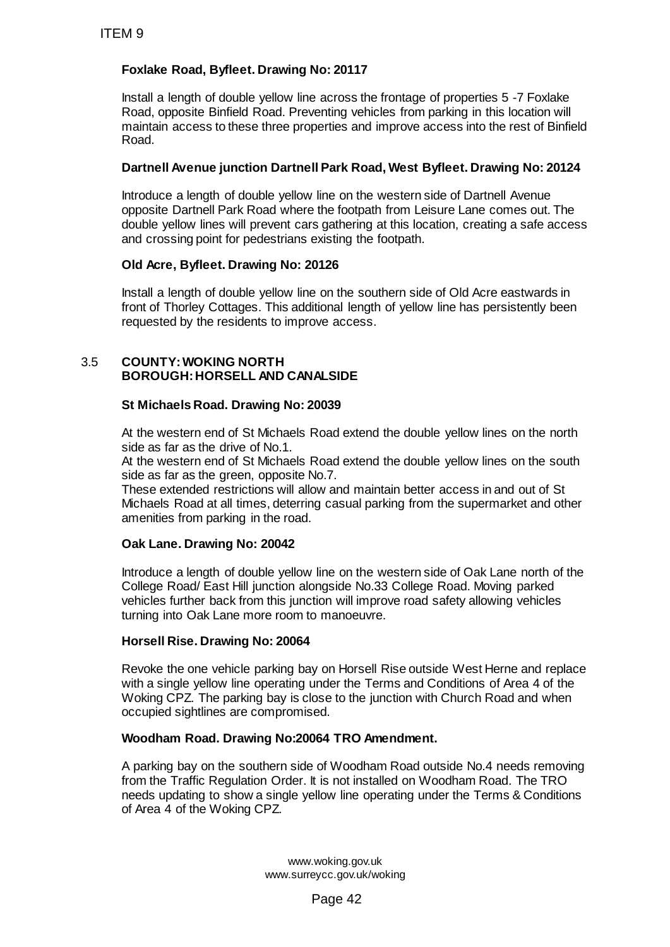# **Foxlake Road, Byfleet. Drawing No: 20117**

Install a length of double yellow line across the frontage of properties 5 -7 Foxlake Road, opposite Binfield Road. Preventing vehicles from parking in this location will maintain access to these three properties and improve access into the rest of Binfield Road.

### **Dartnell Avenue junction Dartnell Park Road, West Byfleet. Drawing No: 20124**

Introduce a length of double yellow line on the western side of Dartnell Avenue opposite Dartnell Park Road where the footpath from Leisure Lane comes out. The double yellow lines will prevent cars gathering at this location, creating a safe access and crossing point for pedestrians existing the footpath. ITEM 9<br>
Foxlake Road, Byfleet. Drawing No: 2011<br>
Install a length of double yellow line across<br>
Road, opposite Binfield Road. Preventing versets<br>
maintain access to these three properties are<br>
Dartnell Avenue junction Dart

### **Old Acre, Byfleet. Drawing No: 20126**

Install a length of double yellow line on the southern side of Old Acre eastwards in front of Thorley Cottages. This additional length of yellow line has persistently been requested by the residents to improve access.

# 3.5 **COUNTY: WOKING NORTH BOROUGH: HORSELL AND CANALSIDE**

### **St Michaels Road. Drawing No: 20039**

At the western end of St Michaels Road extend the double yellow lines on the north side as far as the drive of No.1.

At the western end of St Michaels Road extend the double yellow lines on the south side as far as the green, opposite No.7.

These extended restrictions will allow and maintain better access in and out of St Michaels Road at all times, deterring casual parking from the supermarket and other amenities from parking in the road.

### **Oak Lane. Drawing No: 20042**

Introduce a length of double yellow line on the western side of Oak Lane north of the College Road/ East Hill junction alongside No.33 College Road. Moving parked vehicles further back from this junction will improve road safety allowing vehicles turning into Oak Lane more room to manoeuvre.

### **Horsell Rise. Drawing No: 20064**

Revoke the one vehicle parking bay on Horsell Rise outside West Herne and replace with a single yellow line operating under the Terms and Conditions of Area 4 of the Woking CPZ. The parking bay is close to the junction with Church Road and when occupied sightlines are compromised.

### **Woodham Road. Drawing No:20064 TRO Amendment.**

A parking bay on the southern side of Woodham Road outside No.4 needs removing from the Traffic Regulation Order. It is not installed on Woodham Road. The TRO needs updating to show a single yellow line operating under the Terms & Conditions of Area 4 of the Woking CPZ.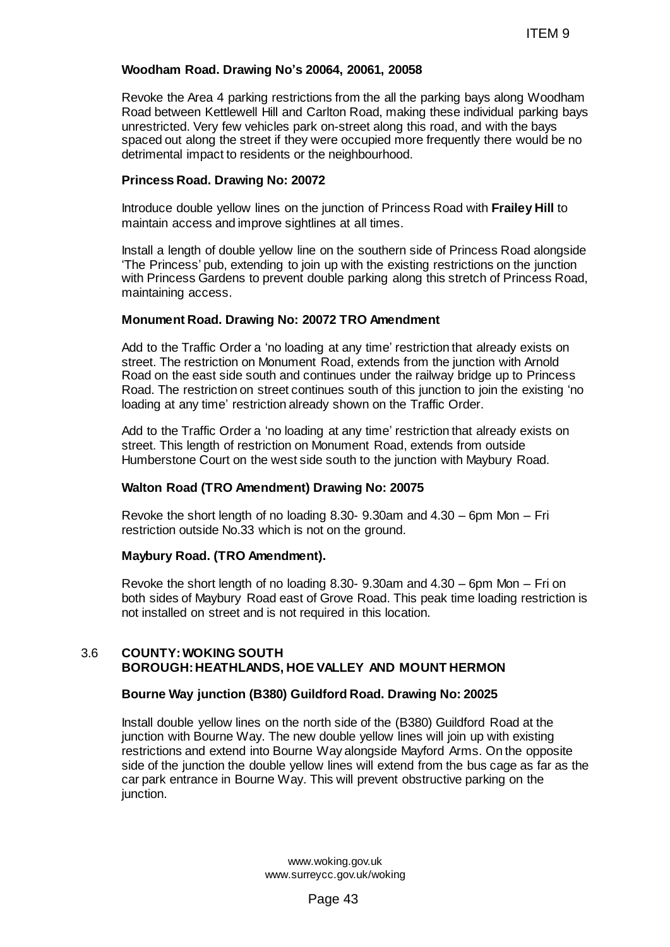#### **Woodham Road. Drawing No's 20064, 20061, 20058**

Revoke the Area 4 parking restrictions from the all the parking bays along Woodham Road between Kettlewell Hill and Carlton Road, making these individual parking bays unrestricted. Very few vehicles park on-street along this road, and with the bays spaced out along the street if they were occupied more frequently there would be no detrimental impact to residents or the neighbourhood.

#### **Princess Road. Drawing No: 20072**

Introduce double yellow lines on the junction of Princess Road with **Frailey Hill** to maintain access and improve sightlines at all times.

Install a length of double yellow line on the southern side of Princess Road alongside 'The Princess' pub, extending to join up with the existing restrictions on the junction with Princess Gardens to prevent double parking along this stretch of Princess Road, maintaining access.

#### **Monument Road. Drawing No: 20072 TRO Amendment**

Add to the Traffic Order a 'no loading at any time' restriction that already exists on street. The restriction on Monument Road, extends from the junction with Arnold Road on the east side south and continues under the railway bridge up to Princess Road. The restriction on street continues south of this junction to join the existing 'no loading at any time' restriction already shown on the Traffic Order.

Add to the Traffic Order a 'no loading at any time' restriction that already exists on street. This length of restriction on Monument Road, extends from outside Humberstone Court on the west side south to the junction with Maybury Road.

### **Walton Road (TRO Amendment) Drawing No: 20075**

Revoke the short length of no loading 8.30- 9.30am and 4.30 – 6pm Mon – Fri restriction outside No.33 which is not on the ground.

#### **Maybury Road. (TRO Amendment).**

Revoke the short length of no loading 8.30- 9.30am and 4.30 – 6pm Mon – Fri on both sides of Maybury Road east of Grove Road. This peak time loading restriction is not installed on street and is not required in this location.

#### 3.6 **COUNTY: WOKING SOUTH BOROUGH: HEATHLANDS, HOE VALLEY AND MOUNT HERMON**

### **Bourne Way junction (B380) Guildford Road. Drawing No: 20025**

Install double yellow lines on the north side of the (B380) Guildford Road at the junction with Bourne Way. The new double yellow lines will join up with existing restrictions and extend into Bourne Way alongside Mayford Arms. On the opposite side of the junction the double yellow lines will extend from the bus cage as far as the car park entrance in Bourne Way. This will prevent obstructive parking on the junction. ITEM 9<br>20064, 20061, 20058<br>
Etions from the all the parking bays along Woodh;<br>
Carlich Road, making these individual parking bays<br>
we cocupied more frequently there would be<br>
the neighbourhood.<br>
The neighbourhood.<br>
The mei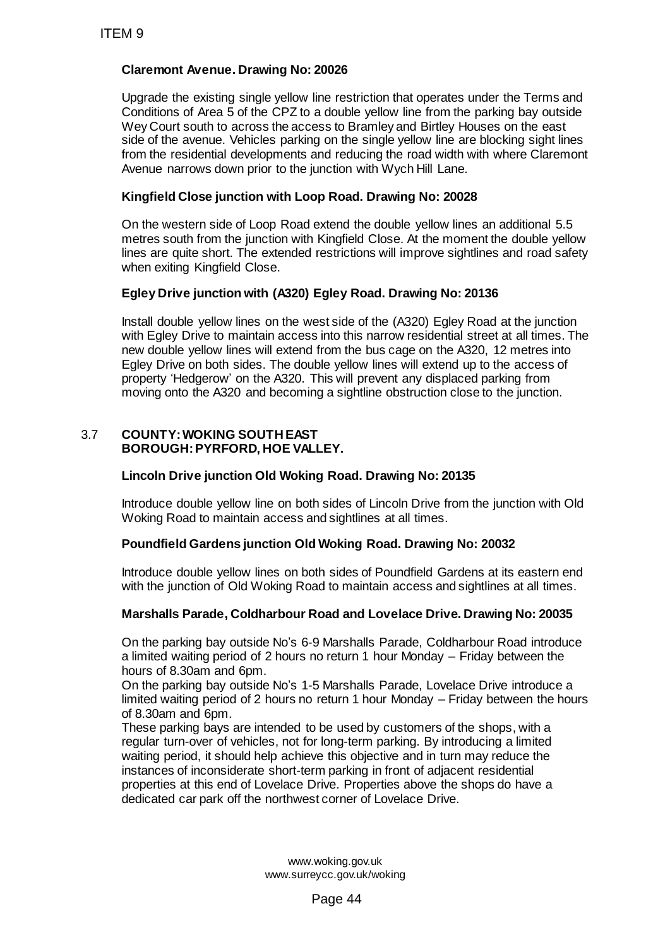## **Claremont Avenue. Drawing No: 20026**

Upgrade the existing single yellow line restriction that operates under the Terms and Conditions of Area 5 of the CPZ to a double yellow line from the parking bay outside Wey Court south to across the access to Bramley and Birtley Houses on the east side of the avenue. Vehicles parking on the single yellow line are blocking sight lines from the residential developments and reducing the road width with where Claremont Avenue narrows down prior to the junction with Wych Hill Lane.

## **Kingfield Close junction with Loop Road. Drawing No: 20028**

On the western side of Loop Road extend the double yellow lines an additional 5.5 metres south from the junction with Kingfield Close. At the moment the double yellow lines are quite short. The extended restrictions will improve sightlines and road safety when exiting Kingfield Close.

# **Egley Drive junction with (A320) Egley Road. Drawing No: 20136**

Install double yellow lines on the west side of the (A320) Egley Road at the junction with Egley Drive to maintain access into this narrow residential street at all times. The new double yellow lines will extend from the bus cage on the A320, 12 metres into Egley Drive on both sides. The double yellow lines will extend up to the access of property 'Hedgerow' on the A320. This will prevent any displaced parking from moving onto the A320 and becoming a sightline obstruction close to the junction.

### 3.7 **COUNTY: WOKING SOUTH EAST BOROUGH: PYRFORD, HOE VALLEY.**

### **Lincoln Drive junction Old Woking Road. Drawing No: 20135**

Introduce double yellow line on both sides of Lincoln Drive from the junction with Old Woking Road to maintain access and sightlines at all times.

### **Poundfield Gardens junction Old Woking Road. Drawing No: 20032**

Introduce double yellow lines on both sides of Poundfield Gardens at its eastern end with the junction of Old Woking Road to maintain access and sightlines at all times.

### **Marshalls Parade, Coldharbour Road and Lovelace Drive. Drawing No: 20035**

On the parking bay outside No's 6-9 Marshalls Parade, Coldharbour Road introduce a limited waiting period of 2 hours no return 1 hour Monday – Friday between the hours of 8.30am and 6pm.

On the parking bay outside No's 1-5 Marshalls Parade, Lovelace Drive introduce a limited waiting period of 2 hours no return 1 hour Monday – Friday between the hours of 8.30am and 6pm.

These parking bays are intended to be used by customers of the shops, with a regular turn-over of vehicles, not for long-term parking. By introducing a limited waiting period, it should help achieve this objective and in turn may reduce the instances of inconsiderate short-term parking in front of adjacent residential properties at this end of Lovelace Drive. Properties above the shops do have a dedicated car park off the northwest corner of Lovelace Drive. ITEM 9<br>Claremont Avenue. Drawing No: 20026<br>Upgrade the existing single yellow line rest<br>Conditions of Area 5 of the CPZ to a double<br>Side of the avenue. Vericles particles particles are<br>store by Court south to across the ac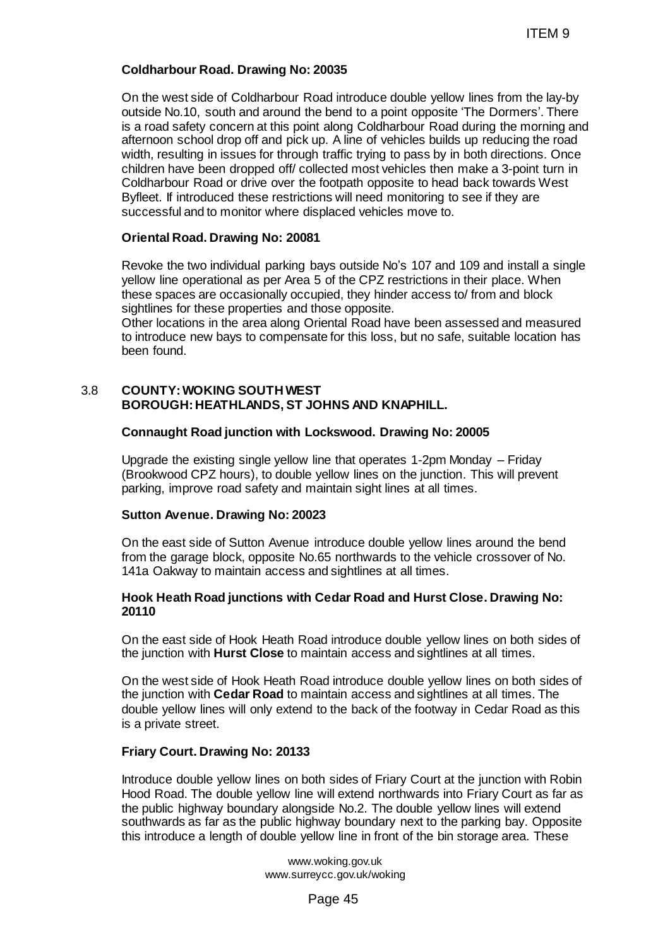#### **Coldharbour Road. Drawing No: 20035**

On the west side of Coldharbour Road introduce double yellow lines from the lay-by outside No.10, south and around the bend to a point opposite 'The Dormers'. There is a road safety concern at this point along Coldharbour Road during the morning and afternoon school drop off and pick up. A line of vehicles builds up reducing the road width, resulting in issues for through traffic trying to pass by in both directions. Once children have been dropped off/ collected most vehicles then make a 3-point turn in Coldharbour Road or drive over the footpath opposite to head back towards West Byfleet. If introduced these restrictions will need monitoring to see if they are successful and to monitor where displaced vehicles move to. ITEM 9<br>
20035<br>
Stoad introduce double yellow lines from the lay-<br>
the bend to a point opposite "The Dormers". Then<br>
in that of vehicles builds up reducing the morning<br>
up. A line of vehicles builds up reducing the morning<br>

#### **Oriental Road. Drawing No: 20081**

Revoke the two individual parking bays outside No's 107 and 109 and install a single yellow line operational as per Area 5 of the CPZ restrictions in their place. When these spaces are occasionally occupied, they hinder access to/ from and block sightlines for these properties and those opposite.

Other locations in the area along Oriental Road have been assessed and measured to introduce new bays to compensate for this loss, but no safe, suitable location has been found.

#### 3.8 **COUNTY:WOKING SOUTH WEST BOROUGH: HEATHLANDS, ST JOHNS AND KNAPHILL.**

#### **Connaught Road junction with Lockswood. Drawing No: 20005**

Upgrade the existing single yellow line that operates 1-2pm Monday – Friday (Brookwood CPZ hours), to double yellow lines on the junction. This will prevent parking, improve road safety and maintain sight lines at all times.

#### **Sutton Avenue. Drawing No: 20023**

On the east side of Sutton Avenue introduce double yellow lines around the bend from the garage block, opposite No.65 northwards to the vehicle crossover of No. 141a Oakway to maintain access and sightlines at all times.

#### **Hook Heath Road junctions with Cedar Road and Hurst Close. Drawing No: 20110**

On the east side of Hook Heath Road introduce double yellow lines on both sides of the junction with **Hurst Close** to maintain access and sightlines at all times.

On the west side of Hook Heath Road introduce double yellow lines on both sides of the junction with **Cedar Road** to maintain access and sightlines at all times. The double yellow lines will only extend to the back of the footway in Cedar Road as this is a private street.

#### **Friary Court. Drawing No: 20133**

Introduce double yellow lines on both sides of Friary Court at the junction with Robin Hood Road. The double yellow line will extend northwards into Friary Court as far as the public highway boundary alongside No.2. The double yellow lines will extend southwards as far as the public highway boundary next to the parking bay. Opposite this introduce a length of double yellow line in front of the bin storage area. These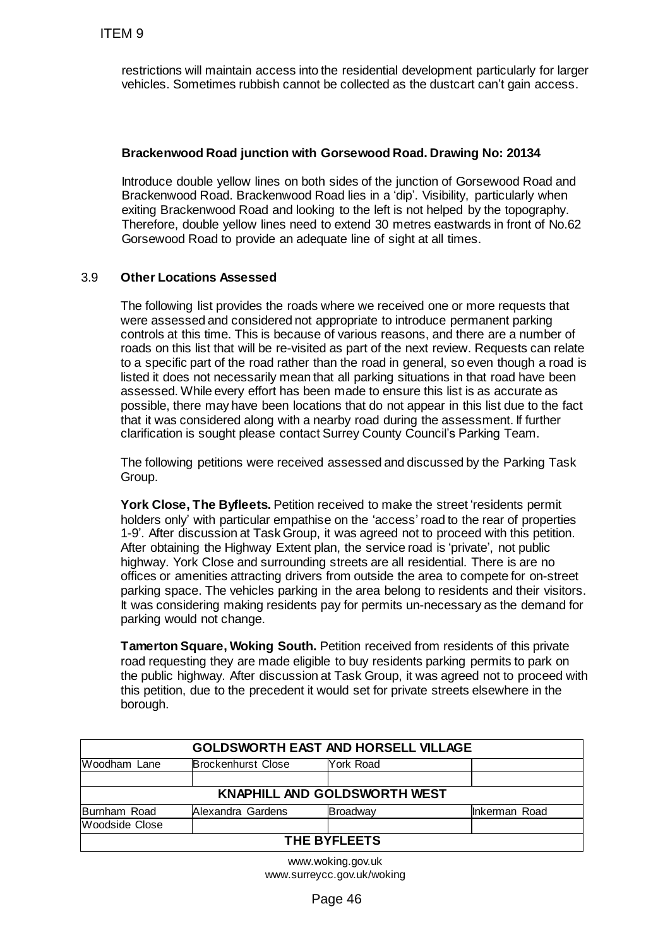restrictions will maintain access into the residential development particularly for larger vehicles. Sometimes rubbish cannot be collected as the dustcart can't gain access.

#### **Brackenwood Road junction with Gorsewood Road. Drawing No: 20134**

Introduce double yellow lines on both sides of the junction of Gorsewood Road and Brackenwood Road. Brackenwood Road lies in a 'dip'. Visibility, particularly when exiting Brackenwood Road and looking to the left is not helped by the topography. Therefore, double yellow lines need to extend 30 metres eastwards in front of No.62 Gorsewood Road to provide an adequate line of sight at all times.

### 3.9 **Other Locations Assessed**

The following list provides the roads where we received one or more requests that were assessed and considered not appropriate to introduce permanent parking controls at this time. This is because of various reasons, and there are a number of roads on this list that will be re-visited as part of the next review. Requests can relate to a specific part of the road rather than the road in general, so even though a road is listed it does not necessarily mean that all parking situations in that road have been assessed. While every effort has been made to ensure this list is as accurate as possible, there may have been locations that do not appear in this list due to the fact that it was considered along with a nearby road during the assessment. If further clarification is sought please contact Surrey County Council's Parking Team. ITEM 9<br>
restrictions will maintain access into the rest<br>
vehicles. Sometimes rubbish cannot be colle<br>
vehicles. Sometimes rubbish cannot be colle<br>
Parackenwood Road. Brackenwood Road lie<br>
bitter broads and booking interfer

The following petitions were received assessed and discussed by the Parking Task Group.

**York Close, The Byfleets.** Petition received to make the street 'residents permit holders only' with particular empathise on the 'access' road to the rear of properties 1-9'. After discussion at Task Group, it was agreed not to proceed with this petition. After obtaining the Highway Extent plan, the service road is 'private', not public highway. York Close and surrounding streets are all residential. There is are no offices or amenities attracting drivers from outside the area to compete for on-street parking space. The vehicles parking in the area belong to residents and their visitors. It was considering making residents pay for permits un-necessary as the demand for parking would not change.

**Tamerton Square, Woking South.** Petition received from residents of this private road requesting they are made eligible to buy residents parking permits to park on the public highway. After discussion at Task Group, it was agreed not to proceed with this petition, due to the precedent it would set for private streets elsewhere in the borough.

| <b>GOLDSWORTH EAST AND HORSELL VILLAGE</b> |                           |                 |               |  |  |
|--------------------------------------------|---------------------------|-----------------|---------------|--|--|
| Woodham Lane                               | <b>Brockenhurst Close</b> | York Road       |               |  |  |
|                                            |                           |                 |               |  |  |
| KNAPHILL AND GOLDSWORTH WEST               |                           |                 |               |  |  |
| Burnham Road                               | Alexandra Gardens         | <b>Broadway</b> | Inkerman Road |  |  |
| <b>Woodside Close</b>                      |                           |                 |               |  |  |
| THE BYFLEETS                               |                           |                 |               |  |  |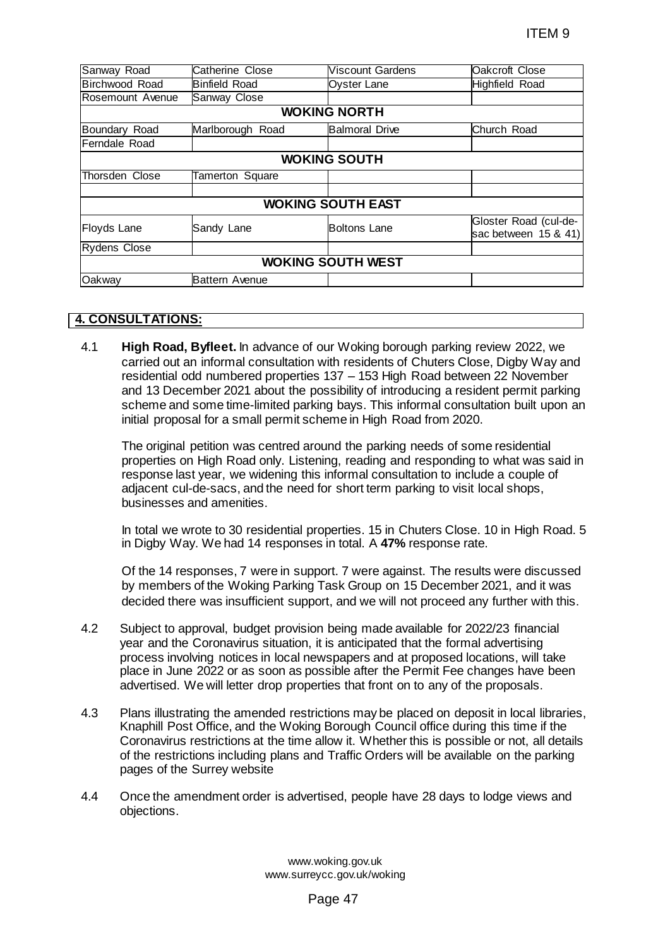|        |                                                                                                                                                                                                                                                                                                                                                                                                                                      |                           |                                                                                                                                                                                                                                                        | <b>ITEM9</b>                                                                                                                                                                                                                                                      |
|--------|--------------------------------------------------------------------------------------------------------------------------------------------------------------------------------------------------------------------------------------------------------------------------------------------------------------------------------------------------------------------------------------------------------------------------------------|---------------------------|--------------------------------------------------------------------------------------------------------------------------------------------------------------------------------------------------------------------------------------------------------|-------------------------------------------------------------------------------------------------------------------------------------------------------------------------------------------------------------------------------------------------------------------|
|        | Sanway Road                                                                                                                                                                                                                                                                                                                                                                                                                          | Catherine Close           | <b>Viscount Gardens</b>                                                                                                                                                                                                                                | Oakcroft Close                                                                                                                                                                                                                                                    |
|        | <b>Birchwood Road</b>                                                                                                                                                                                                                                                                                                                                                                                                                | <b>Binfield Road</b>      | <b>Oyster Lane</b>                                                                                                                                                                                                                                     | <b>Highfield Road</b>                                                                                                                                                                                                                                             |
|        | Rosemount Avenue                                                                                                                                                                                                                                                                                                                                                                                                                     | Sanway Close              |                                                                                                                                                                                                                                                        |                                                                                                                                                                                                                                                                   |
|        |                                                                                                                                                                                                                                                                                                                                                                                                                                      |                           | <b>WOKING NORTH</b>                                                                                                                                                                                                                                    |                                                                                                                                                                                                                                                                   |
|        | Boundary Road                                                                                                                                                                                                                                                                                                                                                                                                                        | Marlborough Road          | <b>Balmoral Drive</b>                                                                                                                                                                                                                                  | Church Road                                                                                                                                                                                                                                                       |
|        | Ferndale Road                                                                                                                                                                                                                                                                                                                                                                                                                        |                           |                                                                                                                                                                                                                                                        |                                                                                                                                                                                                                                                                   |
|        |                                                                                                                                                                                                                                                                                                                                                                                                                                      |                           | <b>WOKING SOUTH</b>                                                                                                                                                                                                                                    |                                                                                                                                                                                                                                                                   |
|        | Thorsden Close                                                                                                                                                                                                                                                                                                                                                                                                                       | <b>Tamerton Square</b>    |                                                                                                                                                                                                                                                        |                                                                                                                                                                                                                                                                   |
|        |                                                                                                                                                                                                                                                                                                                                                                                                                                      |                           | <b>WOKING SOUTH EAST</b>                                                                                                                                                                                                                               |                                                                                                                                                                                                                                                                   |
|        | <b>Floyds Lane</b>                                                                                                                                                                                                                                                                                                                                                                                                                   | Sandy Lane                | <b>Boltons Lane</b>                                                                                                                                                                                                                                    | Gloster Road (cul-de-<br>sac between 15 & 41)                                                                                                                                                                                                                     |
|        | <b>Rydens Close</b>                                                                                                                                                                                                                                                                                                                                                                                                                  |                           |                                                                                                                                                                                                                                                        |                                                                                                                                                                                                                                                                   |
|        |                                                                                                                                                                                                                                                                                                                                                                                                                                      |                           | <b>WOKING SOUTH WEST</b>                                                                                                                                                                                                                               |                                                                                                                                                                                                                                                                   |
| Oakway |                                                                                                                                                                                                                                                                                                                                                                                                                                      | <b>Battern Avenue</b>     |                                                                                                                                                                                                                                                        |                                                                                                                                                                                                                                                                   |
|        |                                                                                                                                                                                                                                                                                                                                                                                                                                      |                           |                                                                                                                                                                                                                                                        |                                                                                                                                                                                                                                                                   |
|        | <b>1. CONSULTATIONS:</b>                                                                                                                                                                                                                                                                                                                                                                                                             |                           |                                                                                                                                                                                                                                                        |                                                                                                                                                                                                                                                                   |
|        |                                                                                                                                                                                                                                                                                                                                                                                                                                      |                           |                                                                                                                                                                                                                                                        |                                                                                                                                                                                                                                                                   |
|        |                                                                                                                                                                                                                                                                                                                                                                                                                                      |                           | residential odd numbered properties 137 - 153 High Road between 22 November<br>initial proposal for a small permit scheme in High Road from 2020.                                                                                                      | carried out an informal consultation with residents of Chuters Close, Digby Way and<br>and 13 December 2021 about the possibility of introducing a resident permit parking<br>scheme and some time-limited parking bays. This informal consultation built upon an |
|        |                                                                                                                                                                                                                                                                                                                                                                                                                                      | businesses and amenities. | The original petition was centred around the parking needs of some residential<br>response last year, we widening this informal consultation to include a couple of<br>adjacent cul-de-sacs, and the need for short term parking to visit local shops, | properties on High Road only. Listening, reading and responding to what was said in                                                                                                                                                                               |
|        |                                                                                                                                                                                                                                                                                                                                                                                                                                      |                           | in Digby Way. We had 14 responses in total. A 47% response rate.                                                                                                                                                                                       | In total we wrote to 30 residential properties. 15 in Chuters Close. 10 in High Road. 5                                                                                                                                                                           |
|        |                                                                                                                                                                                                                                                                                                                                                                                                                                      |                           | by members of the Woking Parking Task Group on 15 December 2021, and it was                                                                                                                                                                            | Of the 14 responses, 7 were in support. 7 were against. The results were discussed<br>decided there was insufficient support, and we will not proceed any further with this.                                                                                      |
| 4.2    | Subject to approval, budget provision being made available for 2022/23 financial<br>year and the Coronavirus situation, it is anticipated that the formal advertising<br>process involving notices in local newspapers and at proposed locations, will take<br>place in June 2022 or as soon as possible after the Permit Fee changes have been<br>advertised. We will letter drop properties that front on to any of the proposals. |                           |                                                                                                                                                                                                                                                        |                                                                                                                                                                                                                                                                   |
| 4.3    | Plans illustrating the amended restrictions may be placed on deposit in local libraries,<br>Knaphill Post Office, and the Woking Borough Council office during this time if the<br>Coronavirus restrictions at the time allow it. Whether this is possible or not, all details<br>of the restrictions including plans and Traffic Orders will be available on the parking<br>pages of the Surrey website                             |                           |                                                                                                                                                                                                                                                        |                                                                                                                                                                                                                                                                   |
| 4.4    | objections.                                                                                                                                                                                                                                                                                                                                                                                                                          |                           | Once the amendment order is advertised, people have 28 days to lodge views and                                                                                                                                                                         |                                                                                                                                                                                                                                                                   |
|        |                                                                                                                                                                                                                                                                                                                                                                                                                                      |                           | www.woking.gov.uk<br>www.surreycc.gov.uk/woking                                                                                                                                                                                                        |                                                                                                                                                                                                                                                                   |
|        |                                                                                                                                                                                                                                                                                                                                                                                                                                      |                           | Page 47                                                                                                                                                                                                                                                |                                                                                                                                                                                                                                                                   |

### **4. CONSULTATIONS:**

- 4.2 Subject to approval, budget provision being made available for 2022/23 financial year and the Coronavirus situation, it is anticipated that the formal advertising process involving notices in local newspapers and at proposed locations, will take place in June 2022 or as soon as possible after the Permit Fee changes have been advertised. We will letter drop properties that front on to any of the proposals.
- 4.3 Plans illustrating the amended restrictions may be placed on deposit in local libraries, Knaphill Post Office, and the Woking Borough Council office during this time if the Coronavirus restrictions at the time allow it. Whether this is possible or not, all details of the restrictions including plans and Traffic Orders will be available on the parking pages of the Surrey website
- 4.4 Once the amendment order is advertised, people have 28 days to lodge views and objections.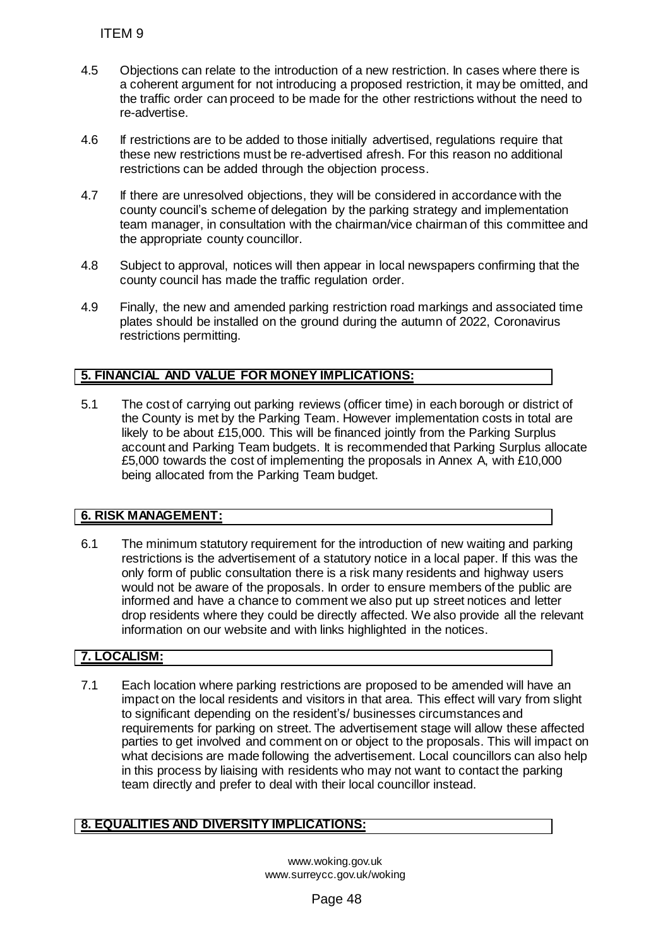- 4.5 Objections can relate to the introduction of a new restriction. In cases where there is a coherent argument for not introducing a proposed restriction, it may be omitted, and the traffic order can proceed to be made for the other restrictions without the need to re-advertise.
- 4.6 If restrictions are to be added to those initially advertised, regulations require that these new restrictions must be re-advertised afresh. For this reason no additional restrictions can be added through the objection process.
- 4.7 If there are unresolved objections, they will be considered in accordance with the county council's scheme of delegation by the parking strategy and implementation team manager, in consultation with the chairman/vice chairman of this committee and the appropriate county councillor.
- 4.8 Subject to approval, notices will then appear in local newspapers confirming that the county council has made the traffic regulation order.
- 4.9 Finally, the new and amended parking restriction road markings and associated time plates should be installed on the ground during the autumn of 2022, Coronavirus restrictions permitting.

# **5. FINANCIAL AND VALUE FOR MONEY IMPLICATIONS:**

5.1 The cost of carrying out parking reviews (officer time) in each borough or district of the County is met by the Parking Team. However implementation costs in total are likely to be about £15,000. This will be financed jointly from the Parking Surplus account and Parking Team budgets. It is recommended that Parking Surplus allocate £5,000 towards the cost of implementing the proposals in Annex A, with £10,000 being allocated from the Parking Team budget.

# **6. RISK MANAGEMENT:**

6.1 The minimum statutory requirement for the introduction of new waiting and parking restrictions is the advertisement of a statutory notice in a local paper. If this was the only form of public consultation there is a risk many residents and highway users would not be aware of the proposals. In order to ensure members of the public are informed and have a chance to comment we also put up street notices and letter drop residents where they could be directly affected. We also provide all the relevant information on our website and with links highlighted in the notices.

### **7. LOCALISM:**

7.1 Each location where parking restrictions are proposed to be amended will have an impact on the local residents and visitors in that area. This effect will vary from slight to significant depending on the resident's/ businesses circumstances and requirements for parking on street. The advertisement stage will allow these affected parties to get involved and comment on or object to the proposals. This will impact on what decisions are made following the advertisement. Local councillors can also help in this process by liaising with residents who may not want to contact the parking team directly and prefer to deal with their local councillor instead. ITEM 9<br>
Objections can relate to the introduction of a coherent argument for not introduction a proceed to the traffic order can proceed to be made for<br>
the traffic order can proceed to be made for<br>
if restrictions are to

# **8. EQUALITIES AND DIVERSITY IMPLICATIONS:**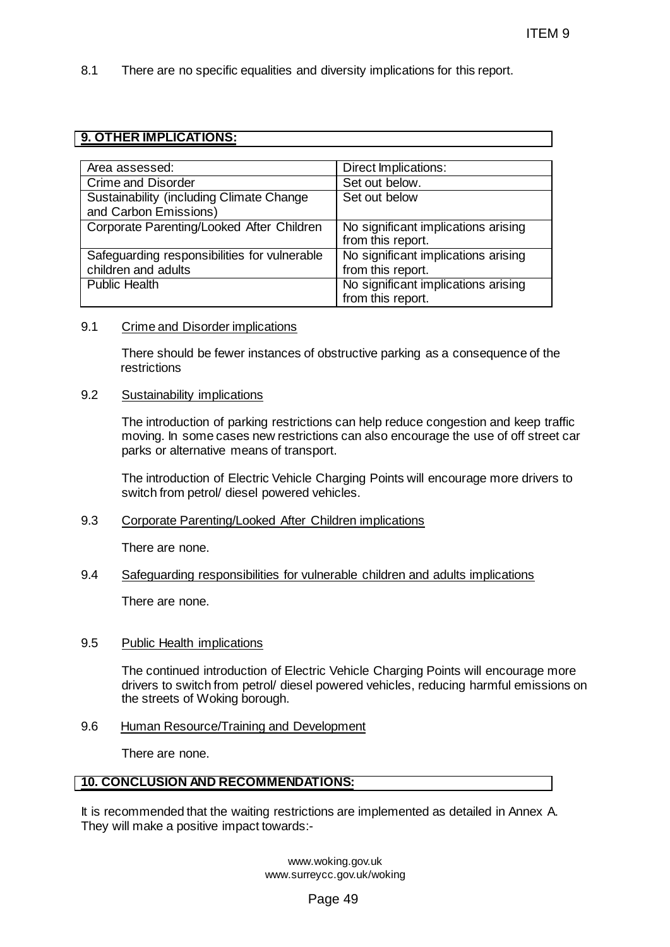### **9. OTHER IMPLICATIONS:**

|                                                               |                                                                               | ITEM 9                                                                                                                                                                   |  |  |  |
|---------------------------------------------------------------|-------------------------------------------------------------------------------|--------------------------------------------------------------------------------------------------------------------------------------------------------------------------|--|--|--|
| 8.1                                                           | There are no specific equalities and diversity implications for this report.  |                                                                                                                                                                          |  |  |  |
|                                                               | 9. OTHER IMPLICATIONS:                                                        |                                                                                                                                                                          |  |  |  |
|                                                               | Area assessed:                                                                | Direct Implications:                                                                                                                                                     |  |  |  |
|                                                               | <b>Crime and Disorder</b>                                                     | Set out below.                                                                                                                                                           |  |  |  |
|                                                               | Sustainability (including Climate Change                                      | Set out below                                                                                                                                                            |  |  |  |
|                                                               | and Carbon Emissions)                                                         |                                                                                                                                                                          |  |  |  |
|                                                               | Corporate Parenting/Looked After Children                                     | No significant implications arising<br>from this report.                                                                                                                 |  |  |  |
|                                                               | Safeguarding responsibilities for vulnerable                                  | No significant implications arising                                                                                                                                      |  |  |  |
|                                                               | children and adults<br><b>Public Health</b>                                   | from this report.<br>No significant implications arising                                                                                                                 |  |  |  |
|                                                               |                                                                               | from this report.                                                                                                                                                        |  |  |  |
| 9.1                                                           | Crime and Disorder implications                                               |                                                                                                                                                                          |  |  |  |
|                                                               | restrictions                                                                  | There should be fewer instances of obstructive parking as a consequence of the                                                                                           |  |  |  |
| 9.2                                                           | <b>Sustainability implications</b>                                            |                                                                                                                                                                          |  |  |  |
|                                                               | parks or alternative means of transport.                                      | The introduction of parking restrictions can help reduce congestion and keep traffi<br>moving. In some cases new restrictions can also encourage the use of off street c |  |  |  |
|                                                               | switch from petrol/ diesel powered vehicles.                                  | The introduction of Electric Vehicle Charging Points will encourage more drivers to                                                                                      |  |  |  |
| Corporate Parenting/Looked After Children implications<br>9.3 |                                                                               |                                                                                                                                                                          |  |  |  |
|                                                               | There are none.                                                               |                                                                                                                                                                          |  |  |  |
| 9.4                                                           | Safeguarding responsibilities for vulnerable children and adults implications |                                                                                                                                                                          |  |  |  |
|                                                               | There are none.                                                               |                                                                                                                                                                          |  |  |  |
| 9.5                                                           | <b>Public Health implications</b>                                             |                                                                                                                                                                          |  |  |  |
|                                                               | the streets of Woking borough.                                                | The continued introduction of Electric Vehicle Charging Points will encourage mor<br>drivers to switch from petrol/ diesel powered vehicles, reducing harmful emissions  |  |  |  |
| 9.6                                                           | Human Resource/Training and Development                                       |                                                                                                                                                                          |  |  |  |
|                                                               | There are none.                                                               |                                                                                                                                                                          |  |  |  |
|                                                               | <b>10. CONCLUSION AND RECOMMENDATIONS:</b>                                    |                                                                                                                                                                          |  |  |  |
|                                                               | They will make a positive impact towards:-                                    | It is recommended that the waiting restrictions are implemented as detailed in Annex A.                                                                                  |  |  |  |
|                                                               |                                                                               | www.woking.gov.uk<br>www.surreycc.gov.uk/woking                                                                                                                          |  |  |  |
|                                                               | Page 49                                                                       |                                                                                                                                                                          |  |  |  |

#### 9.1 Crime and Disorder implications

#### 9.2 Sustainability implications

#### 9.3 Corporate Parenting/Looked After Children implications

#### 9.4 Safeguarding responsibilities for vulnerable children and adults implications

#### 9.5 Public Health implications

### 9.6 Human Resource/Training and Development

### **10. CONCLUSION AND RECOMMENDATIONS:**